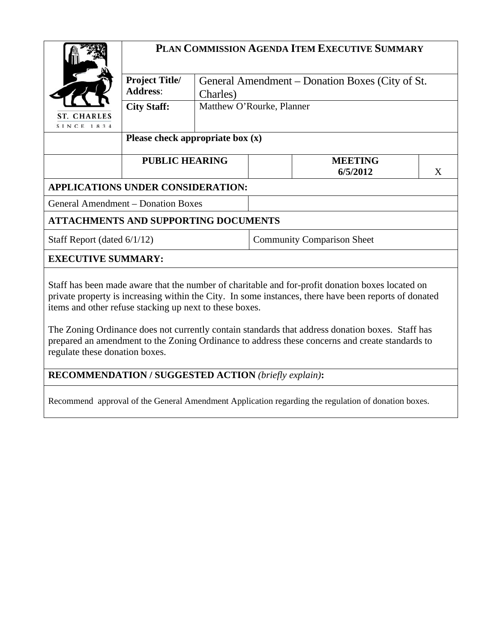|                                                                                                                                                                                                                                                                                                                                                                                                                                                                             | PLAN COMMISSION AGENDA ITEM EXECUTIVE SUMMARY |                           |                                                 |                            |   |  |  |
|-----------------------------------------------------------------------------------------------------------------------------------------------------------------------------------------------------------------------------------------------------------------------------------------------------------------------------------------------------------------------------------------------------------------------------------------------------------------------------|-----------------------------------------------|---------------------------|-------------------------------------------------|----------------------------|---|--|--|
|                                                                                                                                                                                                                                                                                                                                                                                                                                                                             | <b>Project Title/</b><br><b>Address:</b>      | Charles)                  | General Amendment – Donation Boxes (City of St. |                            |   |  |  |
| <b>ST. CHARLES</b><br>SINCE 1834                                                                                                                                                                                                                                                                                                                                                                                                                                            | <b>City Staff:</b>                            | Matthew O'Rourke, Planner |                                                 |                            |   |  |  |
|                                                                                                                                                                                                                                                                                                                                                                                                                                                                             | Please check appropriate box $(x)$            |                           |                                                 |                            |   |  |  |
|                                                                                                                                                                                                                                                                                                                                                                                                                                                                             | <b>PUBLIC HEARING</b>                         |                           |                                                 | <b>MEETING</b><br>6/5/2012 | X |  |  |
| APPLICATIONS UNDER CONSIDERATION:                                                                                                                                                                                                                                                                                                                                                                                                                                           |                                               |                           |                                                 |                            |   |  |  |
| <b>General Amendment – Donation Boxes</b>                                                                                                                                                                                                                                                                                                                                                                                                                                   |                                               |                           |                                                 |                            |   |  |  |
| <b>ATTACHMENTS AND SUPPORTING DOCUMENTS</b>                                                                                                                                                                                                                                                                                                                                                                                                                                 |                                               |                           |                                                 |                            |   |  |  |
| Staff Report (dated 6/1/12)                                                                                                                                                                                                                                                                                                                                                                                                                                                 |                                               |                           | <b>Community Comparison Sheet</b>               |                            |   |  |  |
| <b>EXECUTIVE SUMMARY:</b>                                                                                                                                                                                                                                                                                                                                                                                                                                                   |                                               |                           |                                                 |                            |   |  |  |
| Staff has been made aware that the number of charitable and for-profit donation boxes located on<br>private property is increasing within the City. In some instances, there have been reports of donated<br>items and other refuse stacking up next to these boxes.<br>The Zoning Ordinance does not currently contain standards that address donation boxes. Staff has<br>prepared an amendment to the Zoning Ordinance to address these concerns and create standards to |                                               |                           |                                                 |                            |   |  |  |
| regulate these donation boxes.                                                                                                                                                                                                                                                                                                                                                                                                                                              |                                               |                           |                                                 |                            |   |  |  |
| <b>RECOMMENDATION / SUGGESTED ACTION (briefly explain):</b>                                                                                                                                                                                                                                                                                                                                                                                                                 |                                               |                           |                                                 |                            |   |  |  |

Recommend approval of the General Amendment Application regarding the regulation of donation boxes.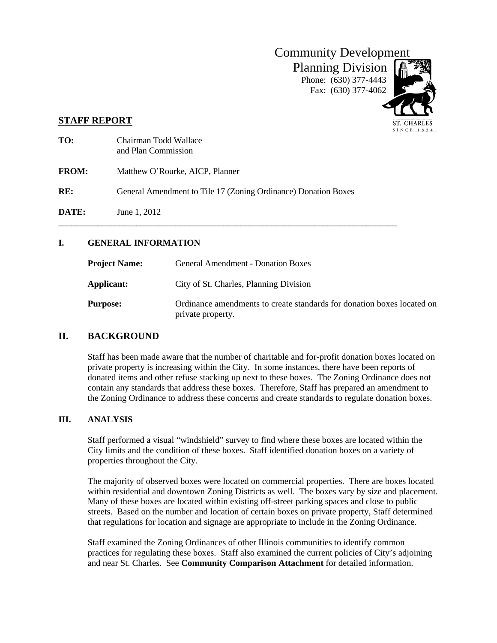

SINCE 1834

# **STAFF REPORT**

| TO:          | Chairman Todd Wallace<br>and Plan Commission                   |
|--------------|----------------------------------------------------------------|
| <b>FROM:</b> | Matthew O'Rourke, AICP, Planner                                |
| RE:          | General Amendment to Tile 17 (Zoning Ordinance) Donation Boxes |
| <b>DATE:</b> | June 1, 2012                                                   |

# **I. GENERAL INFORMATION**

| <b>Project Name:</b> | <b>General Amendment - Donation Boxes</b>                                                   |
|----------------------|---------------------------------------------------------------------------------------------|
| Applicant:           | City of St. Charles, Planning Division                                                      |
| <b>Purpose:</b>      | Ordinance amendments to create standards for donation boxes located on<br>private property. |

# **II. BACKGROUND**

Staff has been made aware that the number of charitable and for-profit donation boxes located on private property is increasing within the City. In some instances, there have been reports of donated items and other refuse stacking up next to these boxes. The Zoning Ordinance does not contain any standards that address these boxes. Therefore, Staff has prepared an amendment to the Zoning Ordinance to address these concerns and create standards to regulate donation boxes.

### **III. ANALYSIS**

Staff performed a visual "windshield" survey to find where these boxes are located within the City limits and the condition of these boxes. Staff identified donation boxes on a variety of properties throughout the City.

The majority of observed boxes were located on commercial properties. There are boxes located within residential and downtown Zoning Districts as well. The boxes vary by size and placement. Many of these boxes are located within existing off-street parking spaces and close to public streets. Based on the number and location of certain boxes on private property, Staff determined that regulations for location and signage are appropriate to include in the Zoning Ordinance.

Staff examined the Zoning Ordinances of other Illinois communities to identify common practices for regulating these boxes. Staff also examined the current policies of City's adjoining and near St. Charles. See **Community Comparison Attachment** for detailed information.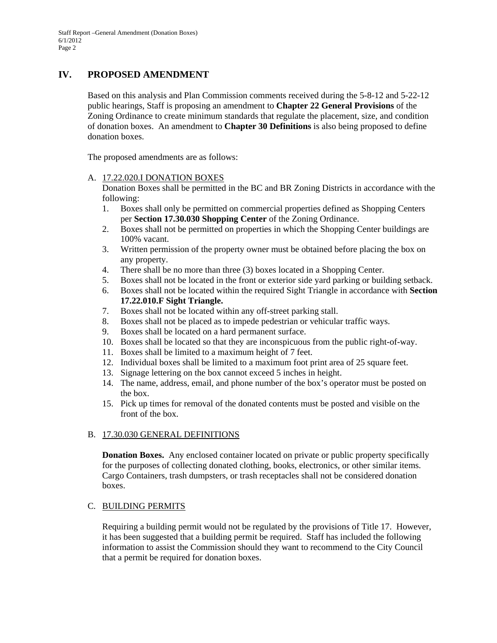# **IV. PROPOSED AMENDMENT**

Based on this analysis and Plan Commission comments received during the 5-8-12 and 5-22-12 public hearings, Staff is proposing an amendment to **Chapter 22 General Provisions** of the Zoning Ordinance to create minimum standards that regulate the placement, size, and condition of donation boxes. An amendment to **Chapter 30 Definitions** is also being proposed to define donation boxes.

The proposed amendments are as follows:

#### A. 17.22.020.I DONATION BOXES

Donation Boxes shall be permitted in the BC and BR Zoning Districts in accordance with the following:

- 1. Boxes shall only be permitted on commercial properties defined as Shopping Centers per **Section 17.30.030 Shopping Center** of the Zoning Ordinance.
- 2. Boxes shall not be permitted on properties in which the Shopping Center buildings are 100% vacant.
- 3. Written permission of the property owner must be obtained before placing the box on any property.
- 4. There shall be no more than three (3) boxes located in a Shopping Center.
- 5. Boxes shall not be located in the front or exterior side yard parking or building setback.
- 6. Boxes shall not be located within the required Sight Triangle in accordance with **Section 17.22.010.F Sight Triangle.**
- 7. Boxes shall not be located within any off-street parking stall.
- 8. Boxes shall not be placed as to impede pedestrian or vehicular traffic ways.
- 9. Boxes shall be located on a hard permanent surface.
- 10. Boxes shall be located so that they are inconspicuous from the public right-of-way.
- 11. Boxes shall be limited to a maximum height of 7 feet.
- 12. Individual boxes shall be limited to a maximum foot print area of 25 square feet.
- 13. Signage lettering on the box cannot exceed 5 inches in height.
- 14. The name, address, email, and phone number of the box's operator must be posted on the box.
- 15. Pick up times for removal of the donated contents must be posted and visible on the front of the box.

### B. 17.30.030 GENERAL DEFINITIONS

**Donation Boxes.** Any enclosed container located on private or public property specifically for the purposes of collecting donated clothing, books, electronics, or other similar items. Cargo Containers, trash dumpsters, or trash receptacles shall not be considered donation boxes.

### C. BUILDING PERMITS

Requiring a building permit would not be regulated by the provisions of Title 17. However, it has been suggested that a building permit be required. Staff has included the following information to assist the Commission should they want to recommend to the City Council that a permit be required for donation boxes.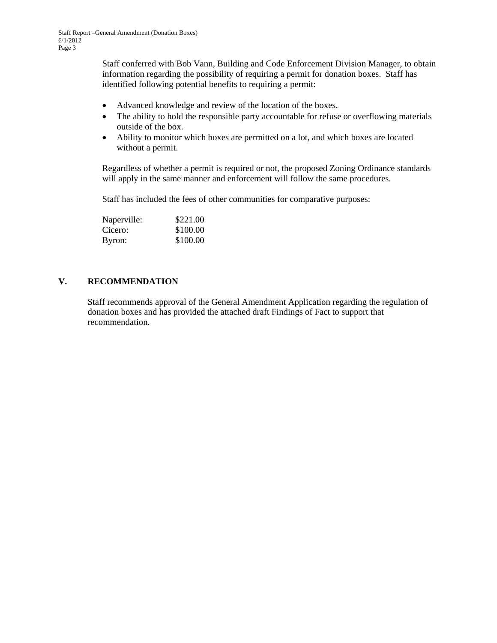Staff conferred with Bob Vann, Building and Code Enforcement Division Manager, to obtain information regarding the possibility of requiring a permit for donation boxes. Staff has identified following potential benefits to requiring a permit:

- Advanced knowledge and review of the location of the boxes.
- The ability to hold the responsible party accountable for refuse or overflowing materials outside of the box.
- Ability to monitor which boxes are permitted on a lot, and which boxes are located without a permit.

Regardless of whether a permit is required or not, the proposed Zoning Ordinance standards will apply in the same manner and enforcement will follow the same procedures.

Staff has included the fees of other communities for comparative purposes:

| Naperville: | \$221.00 |
|-------------|----------|
| Cicero:     | \$100.00 |
| Byron:      | \$100.00 |

### **V. RECOMMENDATION**

Staff recommends approval of the General Amendment Application regarding the regulation of donation boxes and has provided the attached draft Findings of Fact to support that recommendation.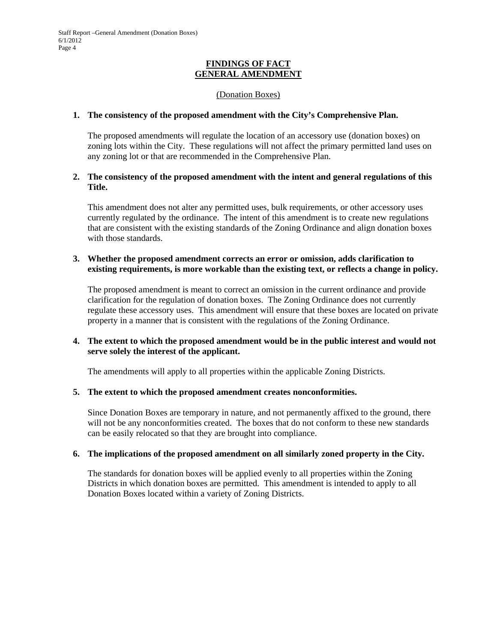#### **FINDINGS OF FACT GENERAL AMENDMENT**

#### (Donation Boxes)

#### **1. The consistency of the proposed amendment with the City's Comprehensive Plan.**

The proposed amendments will regulate the location of an accessory use (donation boxes) on zoning lots within the City. These regulations will not affect the primary permitted land uses on any zoning lot or that are recommended in the Comprehensive Plan.

## **2. The consistency of the proposed amendment with the intent and general regulations of this Title.**

This amendment does not alter any permitted uses, bulk requirements, or other accessory uses currently regulated by the ordinance. The intent of this amendment is to create new regulations that are consistent with the existing standards of the Zoning Ordinance and align donation boxes with those standards.

### **3. Whether the proposed amendment corrects an error or omission, adds clarification to existing requirements, is more workable than the existing text, or reflects a change in policy.**

The proposed amendment is meant to correct an omission in the current ordinance and provide clarification for the regulation of donation boxes. The Zoning Ordinance does not currently regulate these accessory uses. This amendment will ensure that these boxes are located on private property in a manner that is consistent with the regulations of the Zoning Ordinance.

### **4. The extent to which the proposed amendment would be in the public interest and would not serve solely the interest of the applicant.**

The amendments will apply to all properties within the applicable Zoning Districts.

### **5. The extent to which the proposed amendment creates nonconformities.**

Since Donation Boxes are temporary in nature, and not permanently affixed to the ground, there will not be any nonconformities created. The boxes that do not conform to these new standards can be easily relocated so that they are brought into compliance.

### **6. The implications of the proposed amendment on all similarly zoned property in the City.**

The standards for donation boxes will be applied evenly to all properties within the Zoning Districts in which donation boxes are permitted. This amendment is intended to apply to all Donation Boxes located within a variety of Zoning Districts.